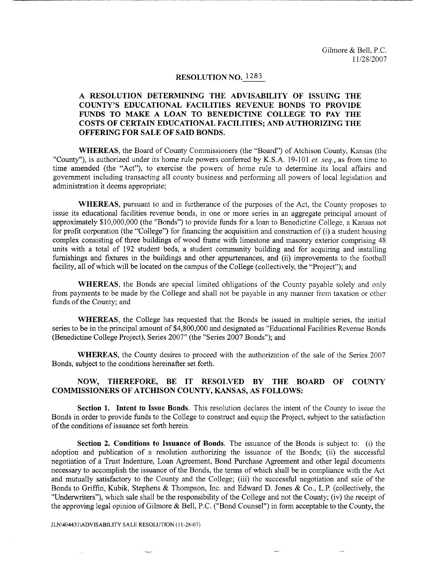### **RESOLUTION NO.** 1283

# **A RESOLUTION DETERMINING THE ADVISABILITY OF ISSUING THE COUNTY'S EDUCATIONAL FACILITIES REVENUE BONDS TO PROVIDE FUNDS TO MAKE A LOAN TO BENEDICTINE COLLEGE TO PAY THE COSTS OF CERTAIN EDUCATIONAL FACILITIES; AND AUTHORIZING THE OFFERING FOR SALE OF SAID BONDS.**

**WHEREAS,** the Board of County Commissioners (the "Board") of Atchison County, Kansas (the "County"), is authorized under its home rule powers conferred by K.S.A. 19-101 *et. seq.,* as from time to time amended (the "Act"), to exercise the powers of home rule to determine its local affairs and government including transacting all county business and performing all powers of local legislation and administration it deems appropriate;

**WHEREAS,** pursuant to and in furtherance of the purposes of the Act, the County proposes to issue its educational facilities revenue bonds, in one or more series in an aggregate principal amount of approximately \$10,000,000 (the "Bonds") to provide funds for a loan to Benedictine College, a Kansas not for profit corporation (the "College") for financing the acquisition and construction of (i) a student housing complex consisting of three buildings of wood frame with limestone and masonry exterior comprising 48 units with a total of 192 student beds, a student community building and for acquiring and installing furnishings and fixtures in the buildings and other appurtenances, and (ii) improvements to the football facility, all of which will be located on the campus of the College (collectively, the "Project"); and

**WHEREAS,** the Bonds are special limited obligations of the County payable solely and only from payments to be made by the College and shall not be payable in any manner from taxation or other funds of the County; and

**WHEREAS,** the College has requested that the Bonds be issued in multiple series, the initial series to be in the principal amount of \$4,800,000 and designated as "Educational Facilities Revenue Bonds (Benedictine College Project), Series 2007" (the "Series 2007 Bonds"); and

**WHEREAS,** the County desires to proceed with the authorization of the sale of the Series 2007 Bonds, subject to the conditions hereinafter set forth.

## **NOW, THEREFORE, BE IT RESOLVED BY THE BOARD OF COUNTY COMMISSIONERS OF ATCHISON COUNTY, KANSAS, AS FOLLOWS:**

**Section 1. Intent to Issue Bonds.** This resolution declares the intent of the County to issue the Bonds in order to provide funds to the College to construct and equip the Project, subject to the satisfaction of the conditions of issuance set forth herein.

**Section 2. Conditions to Issuance of Bonds.** The issuance of the Bonds is subject to: (i) the adoption and publication of a resolution authorizing the issuance of the Bonds; (ii) the successful negotiation of a Trust Indenture, Loan Agreement, Bond Purchase Agreement and other legal documents necessary to accomplish the issuance of the Bonds, the terms of which shall be in compliance with the Act and mutually satisfactory to the County and the College; (iii) the successful negotiation and sale of the Bonds to Griffin, Kubik, Stephens & Thompson, Inc. and Edward D. Jones & Co., L.P. (collectively, the "Underwriters"), which sale shall be the responsibility of the College and not the County; (iv) the receipt of the approving legal opinion of Gilmore & Bell, P.C. ("Bond Counsel") in form acceptable to the County, the

JLN\404431\ADVISABILITY SALE RESOLUTION (11-28-07)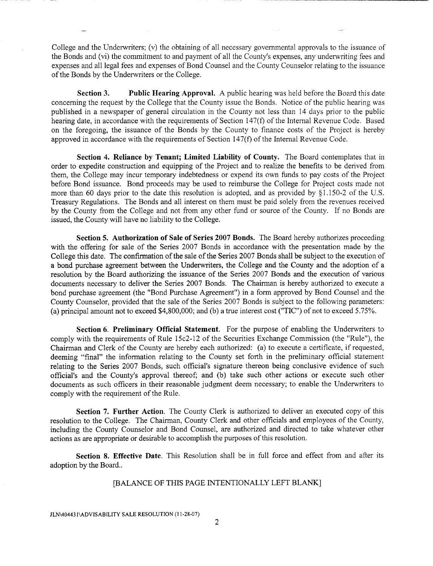College and the Underwriters; (v) the obtaining of all necessary governmental approvals to the issuance of the Bonds and (vi) the commitment to and payment of all the County's expenses, any underwriting fees and expenses and all legal fees and expenses of Bond Counsel and the County Counselor relating to the issuance of the Bonds by the Underwriters or the College.

**Section 3. Public Hearing Approval.** A public hearing was held before the Board this date concerning the request by the College that the County issue the Bonds. Notice of the public hearing was published in a newspaper of general circulation in the County not less than 14 days prior to the public hearing date, in accordance with the requirements of Section 147(f) of the Internal Revenue Code. Based on the foregoing, the issuance of the Bonds by the County to finance costs of the Project is hereby approved in accordance with the requirements of Section 147(f) of the Internal Revenue Code.

**Section 4. Reliance by Tenant; Limited Liability of County.** The Board contemplates that in order to expedite construction and equipping of the Project and to realize the benefits to be derived from them, the College may incur temporary indebtedness or expend its own funds to pay costs of the Project before Bond issuance. Bond proceeds may be used to reimburse the College for Project costs made not more than 60 days prior to the date this resolution is adopted, and as provided by §1.150-2 of the U.S. Treasury Regulations. The Bonds and all interest on them must be paid solely from the revenues received by the County from the College and not from any other fund or source of the County. If no Bonds are issued, the County will have no liability to the College.

**Section 5. Authorization of Sale of Series 2007 Bonds.** The Board hereby authorizes proceeding with the offering for sale of the Series 2007 Bonds in accordance with the presentation made by the College this date. The confirmation of the sale of the Series 2007 Bonds shall be subject to the execution of a bond purchase agreement between the Underwriters, the College and the County and the adoption of a resolution by the Board authorizing the issuance of the Series 2007 Bonds and the execution of various documents necessary to deliver the Series 2007 Bonds. The Chairman is hereby authorized to execute a bond purchase agreement (the "Bond Purchase Agreement") in a form approved by Bond Counsel and the County Counselor, provided that the sale of the Series 2007 Bonds is subject to the following parameters: (a) principal amount not to exceed \$4,800,000; and (b) a true interest cost ("TIC") of not to exceed 5.75%.

**Section 6. Preliminary Official Statement.** For the purpose of enabling the Underwriters to comply with the requirements of Rule 15c2-12 of the Securities Exchange Commission (the "Rule"), the Chairman and Clerk of the County are hereby each authorized: (a) to execute a certificate, if requested, deeming "final" the information relating to the County set forth in the preliminary official statement relating to the Series 2007 Bonds, such official's signature thereon being conclusive evidence of such official's and the County's approval thereof; and (b) take such other actions or execute such other documents as such officers in their reasonable judgment deem necessary; to enable the Underwriters to comply with the requirement of the Rule.

**Section 7. Further Action.** The County Clerk is authorized to deliver an executed copy of this resolution to the College. The Chairman, County Clerk and other officials and employees of the County, including the County Counselor and Bond Counsel, are authorized and directed to take whatever other actions as are appropriate or desirable to accomplish the purposes of this resolution.

Section 8. Effective Date. This Resolution shall be in full force and effect from and after its adoption by the Board..

### [BALANCE OF THIS PAGE INTENTIONALLY LEFT BLANK]

JLN\404431 \ADVISABILITY SALE RESOLUTION (11-28-07)